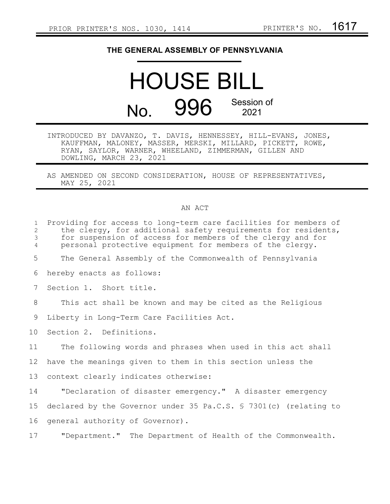## **THE GENERAL ASSEMBLY OF PENNSYLVANIA**

## HOUSE BILL No. 996 Session of 2021

- INTRODUCED BY DAVANZO, T. DAVIS, HENNESSEY, HILL-EVANS, JONES, KAUFFMAN, MALONEY, MASSER, MERSKI, MILLARD, PICKETT, ROWE, RYAN, SAYLOR, WARNER, WHEELAND, ZIMMERMAN, GILLEN AND DOWLING, MARCH 23, 2021
- AS AMENDED ON SECOND CONSIDERATION, HOUSE OF REPRESENTATIVES, MAY 25, 2021

## AN ACT

| $\mathbf{1}$<br>$\mathbf{2}$<br>$\mathfrak{Z}$<br>$\overline{4}$ | Providing for access to long-term care facilities for members of<br>the clergy, for additional safety requirements for residents,<br>for suspension of access for members of the clergy and for<br>personal protective equipment for members of the clergy. |
|------------------------------------------------------------------|-------------------------------------------------------------------------------------------------------------------------------------------------------------------------------------------------------------------------------------------------------------|
| 5                                                                | The General Assembly of the Commonwealth of Pennsylvania                                                                                                                                                                                                    |
| 6                                                                | hereby enacts as follows:                                                                                                                                                                                                                                   |
| 7                                                                | Section 1. Short title.                                                                                                                                                                                                                                     |
| 8                                                                | This act shall be known and may be cited as the Religious                                                                                                                                                                                                   |
| 9                                                                | Liberty in Long-Term Care Facilities Act.                                                                                                                                                                                                                   |
| 10 <sup>°</sup>                                                  | Section 2. Definitions.                                                                                                                                                                                                                                     |
| 11                                                               | The following words and phrases when used in this act shall                                                                                                                                                                                                 |
| 12                                                               | have the meanings given to them in this section unless the                                                                                                                                                                                                  |
| 13                                                               | context clearly indicates otherwise:                                                                                                                                                                                                                        |
| 14                                                               | "Declaration of disaster emergency." A disaster emergency                                                                                                                                                                                                   |
| 15                                                               | declared by the Governor under 35 Pa.C.S. $\frac{1}{5}$ 7301(c) (relating to                                                                                                                                                                                |
| 16                                                               | general authority of Governor).                                                                                                                                                                                                                             |
| 17                                                               | "Department." The Department of Health of the Commonwealth.                                                                                                                                                                                                 |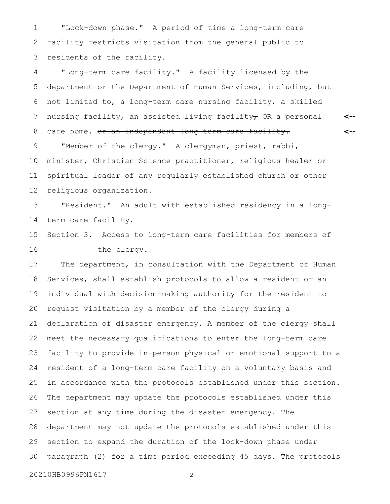"Lock-down phase." A period of time a long-term care facility restricts visitation from the general public to residents of the facility. 1 2 3

"Long-term care facility." A facility licensed by the department or the Department of Human Services, including, but not limited to, a long-term care nursing facility, a skilled nursing facility, an assisted living facility $_{\tau}$  OR a personal care home. or an independent long term care facility. "Member of the clergy." A clergyman, priest, rabbi, minister, Christian Science practitioner, religious healer or spiritual leader of any regularly established church or other religious organization. 4 5 6 7 8 9 10 11 12

**<--**

**<--**

"Resident." An adult with established residency in a longterm care facility. 13 14

Section 3. Access to long-term care facilities for members of the clergy. 15 16

The department, in consultation with the Department of Human Services, shall establish protocols to allow a resident or an individual with decision-making authority for the resident to request visitation by a member of the clergy during a declaration of disaster emergency. A member of the clergy shall meet the necessary qualifications to enter the long-term care facility to provide in-person physical or emotional support to a resident of a long-term care facility on a voluntary basis and in accordance with the protocols established under this section. The department may update the protocols established under this section at any time during the disaster emergency. The department may not update the protocols established under this section to expand the duration of the lock-down phase under paragraph (2) for a time period exceeding 45 days. The protocols 17 18 19 20 21 22 23 24 25 26 27 28 29 30

20210HB0996PN1617 - 2 -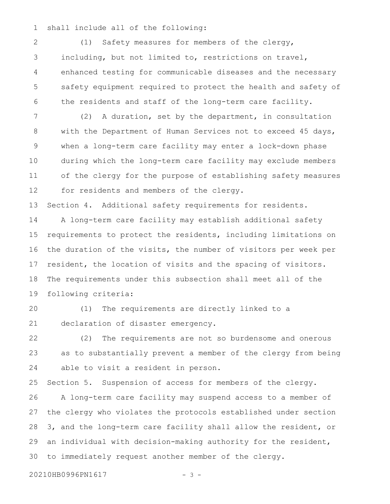shall include all of the following: 1

(1) Safety measures for members of the clergy, including, but not limited to, restrictions on travel, enhanced testing for communicable diseases and the necessary safety equipment required to protect the health and safety of the residents and staff of the long-term care facility. 2 3 4 5 6

(2) A duration, set by the department, in consultation with the Department of Human Services not to exceed 45 days, when a long-term care facility may enter a lock-down phase during which the long-term care facility may exclude members of the clergy for the purpose of establishing safety measures for residents and members of the clergy. 7 8 9 10 11 12

Section 4. Additional safety requirements for residents. 13

A long-term care facility may establish additional safety requirements to protect the residents, including limitations on the duration of the visits, the number of visitors per week per resident, the location of visits and the spacing of visitors. The requirements under this subsection shall meet all of the following criteria: 14 15 16 17 18 19

(1) The requirements are directly linked to a declaration of disaster emergency. 20 21

(2) The requirements are not so burdensome and onerous as to substantially prevent a member of the clergy from being able to visit a resident in person. 22 23 24

Section 5. Suspension of access for members of the clergy. A long-term care facility may suspend access to a member of the clergy who violates the protocols established under section 3, and the long-term care facility shall allow the resident, or an individual with decision-making authority for the resident, to immediately request another member of the clergy. 25 26 27 28 29 30

20210HB0996PN1617 - 3 -